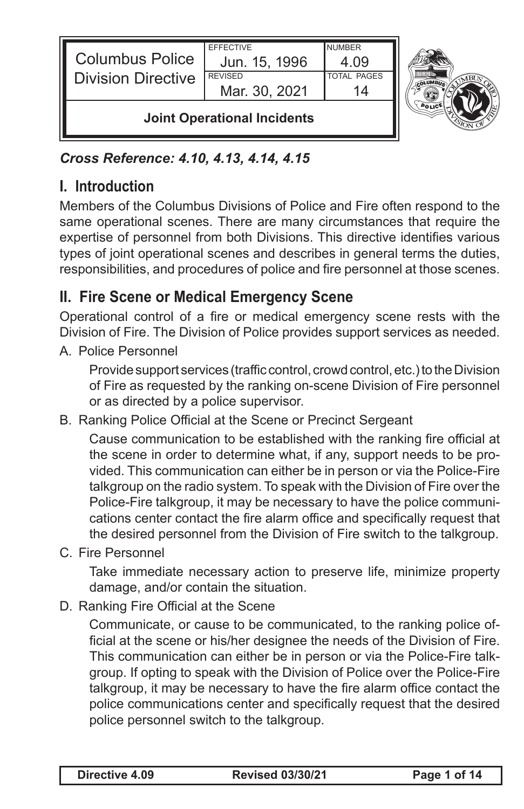| <b>Joint Operational Incidents</b> |                  |                    |  |
|------------------------------------|------------------|--------------------|--|
|                                    | Mar. 30, 2021    |                    |  |
| <b>Division Directive</b>          | <b>REVISED</b>   | <b>TOTAL PAGES</b> |  |
| <b>Columbus Police</b>             | Jun. 15, 1996    | 4 09               |  |
|                                    | <b>EFFECTIVE</b> | <b>NUMBER</b>      |  |

#### *Cross Reference: 4.10, 4.13, 4.14, 4.15*

### **I. Introduction**

Members of the Columbus Divisions of Police and Fire often respond to the same operational scenes. There are many circumstances that require the expertise of personnel from both Divisions. This directive identifies various types of joint operational scenes and describes in general terms the duties, responsibilities, and procedures of police and fire personnel at those scenes.

### **II. Fire Scene or Medical Emergency Scene**

Operational control of a fire or medical emergency scene rests with the Division of Fire. The Division of Police provides support services as needed.

A. Police Personnel

Provide support services (traffic control, crowd control, etc.) to the Division of Fire as requested by the ranking on-scene Division of Fire personnel or as directed by a police supervisor.

B. Ranking Police Official at the Scene or Precinct Sergeant

Cause communication to be established with the ranking fire official at the scene in order to determine what, if any, support needs to be provided. This communication can either be in person or via the Police-Fire talkgroup on the radio system. To speak with the Division of Fire over the Police-Fire talkgroup, it may be necessary to have the police communications center contact the fire alarm office and specifically request that the desired personnel from the Division of Fire switch to the talkgroup.

C. Fire Personnel

Take immediate necessary action to preserve life, minimize property damage, and/or contain the situation.

D. Ranking Fire Official at the Scene

Communicate, or cause to be communicated, to the ranking police official at the scene or his/her designee the needs of the Division of Fire. This communication can either be in person or via the Police-Fire talkgroup. If opting to speak with the Division of Police over the Police-Fire talkgroup, it may be necessary to have the fire alarm office contact the police communications center and specifically request that the desired police personnel switch to the talkgroup.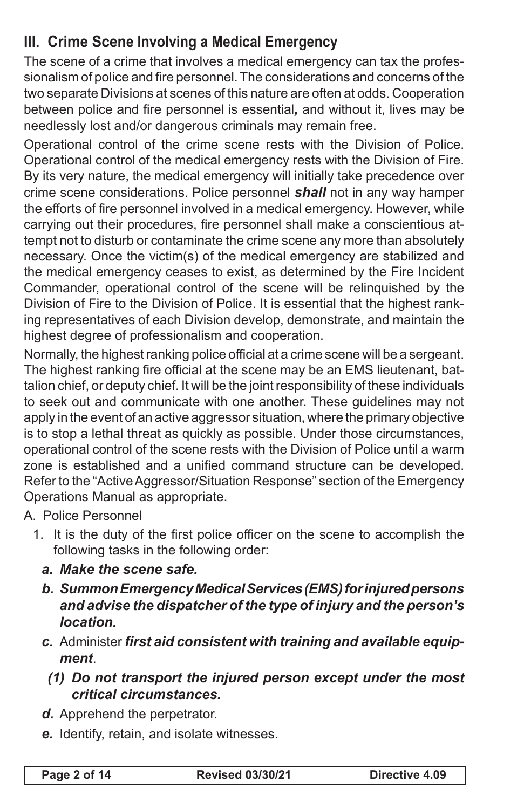## **III. Crime Scene Involving a Medical Emergency**

The scene of a crime that involves a medical emergency can tax the professionalism of police and fire personnel. The considerations and concerns of the two separate Divisions at scenes of this nature are often at odds. Cooperation between police and fire personnel is essential*,* and without it, lives may be needlessly lost and/or dangerous criminals may remain free.

Operational control of the crime scene rests with the Division of Police. Operational control of the medical emergency rests with the Division of Fire. By its very nature, the medical emergency will initially take precedence over crime scene considerations. Police personnel *shall* not in any way hamper the efforts of fire personnel involved in a medical emergency. However, while carrying out their procedures, fire personnel shall make a conscientious attempt not to disturb or contaminate the crime scene any more than absolutely necessary. Once the victim(s) of the medical emergency are stabilized and the medical emergency ceases to exist, as determined by the Fire Incident Commander, operational control of the scene will be relinquished by the Division of Fire to the Division of Police. It is essential that the highest ranking representatives of each Division develop, demonstrate, and maintain the highest degree of professionalism and cooperation.

Normally, the highest ranking police official at a crime scene will be a sergeant. The highest ranking fire official at the scene may be an EMS lieutenant, battalion chief, or deputy chief. It will be the joint responsibility of these individuals to seek out and communicate with one another. These guidelines may not apply in the event of an active aggressor situation, where the primary objective is to stop a lethal threat as quickly as possible. Under those circumstances, operational control of the scene rests with the Division of Police until a warm zone is established and a unified command structure can be developed. Refer to the "Active Aggressor/Situation Response" section of the Emergency Operations Manual as appropriate.

A. Police Personnel

- 1. It is the duty of the first police officer on the scene to accomplish the following tasks in the following order:
	- *a. Make the scene safe.*
	- *b. Summon Emergency Medical Services (EMS) for injured persons and advise the dispatcher of the type of injury and the person's location.*
	- *c.* Administer *first aid consistent with training and available equipment*.
		- *(1) Do not transport the injured person except under the most critical circumstances.*
	- *d.* Apprehend the perpetrator.
	- *e.* Identify, retain, and isolate witnesses.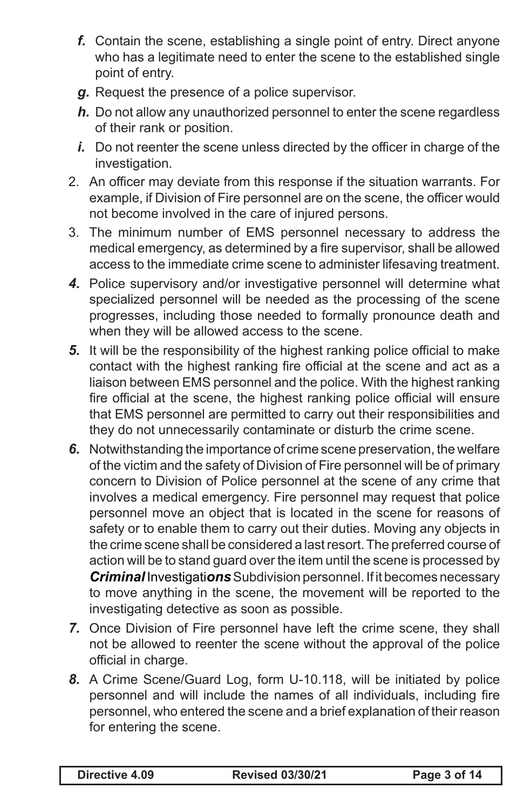- *f.* Contain the scene, establishing a single point of entry. Direct anyone who has a legitimate need to enter the scene to the established single point of entry.
- *g.* Request the presence of a police supervisor.
- *h.* Do not allow any unauthorized personnel to enter the scene regardless of their rank or position.
- *i.* Do not reenter the scene unless directed by the officer in charge of the investigation.
- 2. An officer may deviate from this response if the situation warrants. For example, if Division of Fire personnel are on the scene, the officer would not become involved in the care of injured persons.
- 3. The minimum number of EMS personnel necessary to address the medical emergency, as determined by a fire supervisor, shall be allowed access to the immediate crime scene to administer lifesaving treatment.
- *4.* Police supervisory and/or investigative personnel will determine what specialized personnel will be needed as the processing of the scene progresses, including those needed to formally pronounce death and when they will be allowed access to the scene.
- *5.* It will be the responsibility of the highest ranking police official to make contact with the highest ranking fire official at the scene and act as a liaison between EMS personnel and the police. With the highest ranking fire official at the scene, the highest ranking police official will ensure that EMS personnel are permitted to carry out their responsibilities and they do not unnecessarily contaminate or disturb the crime scene.
- *6.* Notwithstanding the importance of crime scene preservation, the welfare of the victim and the safety of Division of Fire personnel will be of primary concern to Division of Police personnel at the scene of any crime that involves a medical emergency. Fire personnel may request that police personnel move an object that is located in the scene for reasons of safety or to enable them to carry out their duties. Moving any objects in the crime scene shall be considered a last resort. The preferred course of action will be to stand guard over the item until the scene is processed by *Criminal* Investigati*ons* Subdivision personnel. If it becomes necessary to move anything in the scene, the movement will be reported to the investigating detective as soon as possible.
- *7.* Once Division of Fire personnel have left the crime scene, they shall not be allowed to reenter the scene without the approval of the police official in charge.
- *8.* A Crime Scene/Guard Log, form U-10.118, will be initiated by police personnel and will include the names of all individuals, including fire personnel, who entered the scene and a brief explanation of their reason for entering the scene.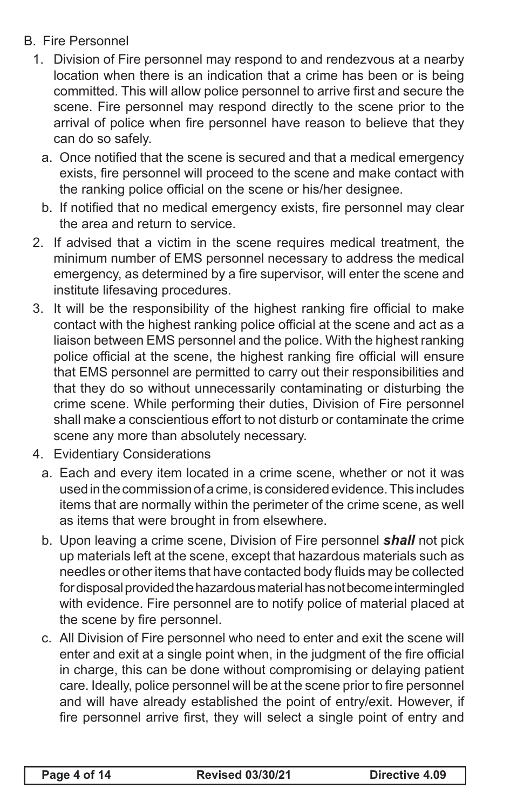- B. Fire Personnel
	- 1. Division of Fire personnel may respond to and rendezvous at a nearby location when there is an indication that a crime has been or is being committed. This will allow police personnel to arrive first and secure the scene. Fire personnel may respond directly to the scene prior to the arrival of police when fire personnel have reason to believe that they can do so safely.
		- a. Once notified that the scene is secured and that a medical emergency exists, fire personnel will proceed to the scene and make contact with the ranking police official on the scene or his/her designee.
		- b. If notified that no medical emergency exists, fire personnel may clear the area and return to service.
	- 2. If advised that a victim in the scene requires medical treatment, the minimum number of EMS personnel necessary to address the medical emergency, as determined by a fire supervisor, will enter the scene and institute lifesaving procedures.
	- 3. It will be the responsibility of the highest ranking fire official to make contact with the highest ranking police official at the scene and act as a liaison between EMS personnel and the police. With the highest ranking police official at the scene, the highest ranking fire official will ensure that EMS personnel are permitted to carry out their responsibilities and that they do so without unnecessarily contaminating or disturbing the crime scene. While performing their duties, Division of Fire personnel shall make a conscientious effort to not disturb or contaminate the crime scene any more than absolutely necessary.
	- 4. Evidentiary Considerations
		- a. Each and every item located in a crime scene, whether or not it was used in the commission of a crime, is considered evidence. This includes items that are normally within the perimeter of the crime scene, as well as items that were brought in from elsewhere.
		- b. Upon leaving a crime scene, Division of Fire personnel *shall* not pick up materials left at the scene, except that hazardous materials such as needles or other items that have contacted body fluids may be collected for disposal provided the hazardous material has not become intermingled with evidence. Fire personnel are to notify police of material placed at the scene by fire personnel.
		- c. All Division of Fire personnel who need to enter and exit the scene will enter and exit at a single point when, in the judgment of the fire official in charge, this can be done without compromising or delaying patient care. Ideally, police personnel will be at the scene prior to fire personnel and will have already established the point of entry/exit. However, if fire personnel arrive first, they will select a single point of entry and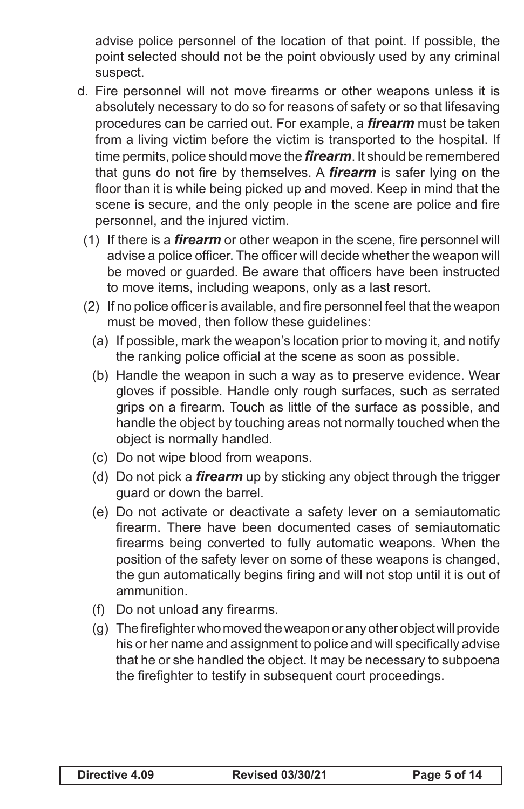advise police personnel of the location of that point. If possible, the point selected should not be the point obviously used by any criminal suspect.

- d. Fire personnel will not move firearms or other weapons unless it is absolutely necessary to do so for reasons of safety or so that lifesaving procedures can be carried out. For example, a *firearm* must be taken from a living victim before the victim is transported to the hospital. If time permits, police should move the *firearm*. It should be remembered that guns do not fire by themselves. A *firearm* is safer lying on the floor than it is while being picked up and moved. Keep in mind that the scene is secure, and the only people in the scene are police and fire personnel, and the injured victim.
	- (1) If there is a *firearm* or other weapon in the scene, fire personnel will advise a police officer. The officer will decide whether the weapon will be moved or guarded. Be aware that officers have been instructed to move items, including weapons, only as a last resort.
	- (2) If no police officer is available, and fire personnel feel that the weapon must be moved, then follow these guidelines:
		- (a) If possible, mark the weapon's location prior to moving it, and notify the ranking police official at the scene as soon as possible.
		- (b) Handle the weapon in such a way as to preserve evidence. Wear gloves if possible. Handle only rough surfaces, such as serrated grips on a firearm. Touch as little of the surface as possible, and handle the object by touching areas not normally touched when the object is normally handled.
		- (c) Do not wipe blood from weapons.
		- (d) Do not pick a *firearm* up by sticking any object through the trigger guard or down the barrel.
		- (e) Do not activate or deactivate a safety lever on a semiautomatic firearm. There have been documented cases of semiautomatic firearms being converted to fully automatic weapons. When the position of the safety lever on some of these weapons is changed, the gun automatically begins firing and will not stop until it is out of ammunition.
		- (f) Do not unload any firearms.
		- (g) The firefighter who moved the weapon or any other object will provide his or her name and assignment to police and will specifically advise that he or she handled the object. It may be necessary to subpoena the firefighter to testify in subsequent court proceedings.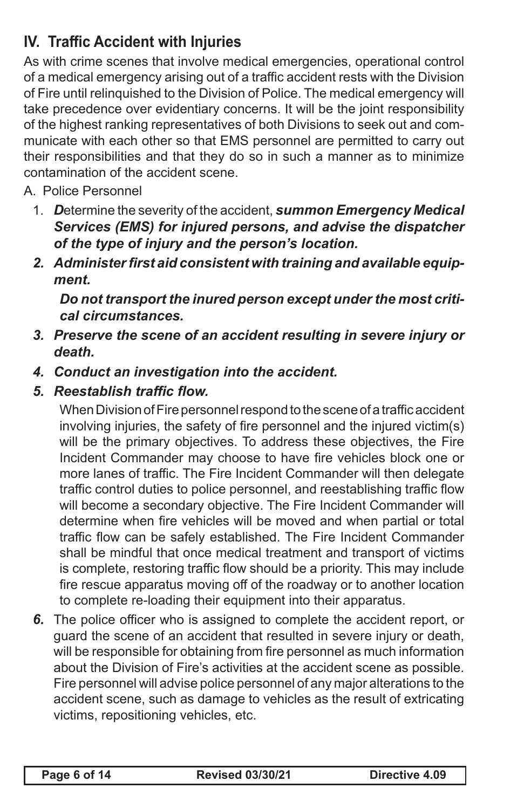# **IV. Traffic Accident with Injuries**

As with crime scenes that involve medical emergencies, operational control of a medical emergency arising out of a traffic accident rests with the Division of Fire until relinquished to the Division of Police. The medical emergency will take precedence over evidentiary concerns. It will be the joint responsibility of the highest ranking representatives of both Divisions to seek out and communicate with each other so that EMS personnel are permitted to carry out their responsibilities and that they do so in such a manner as to minimize contamination of the accident scene.

- A. Police Personnel
	- 1. *D*etermine the severity of the accident, *summon Emergency Medical Services (EMS) for injured persons, and advise the dispatcher of the type of injury and the person's location.*
	- *2. Administer first aid consistent with training and available equipment.*

*Do not transport the inured person except under the most critical circumstances.*

- *3. Preserve the scene of an accident resulting in severe injury or death.*
- *4. Conduct an investigation into the accident.*
- *5. Reestablish traffic flow.*

When Division of Fire personnel respond to the scene of a traffic accident involving injuries, the safety of fire personnel and the injured victim(s) will be the primary objectives. To address these objectives, the Fire Incident Commander may choose to have fire vehicles block one or more lanes of traffic. The Fire Incident Commander will then delegate traffic control duties to police personnel, and reestablishing traffic flow will become a secondary objective. The Fire Incident Commander will determine when fire vehicles will be moved and when partial or total traffic flow can be safely established. The Fire Incident Commander shall be mindful that once medical treatment and transport of victims is complete, restoring traffic flow should be a priority. This may include fire rescue apparatus moving off of the roadway or to another location to complete re-loading their equipment into their apparatus.

*6.* The police officer who is assigned to complete the accident report, or guard the scene of an accident that resulted in severe injury or death, will be responsible for obtaining from fire personnel as much information about the Division of Fire's activities at the accident scene as possible. Fire personnel will advise police personnel of any major alterations to the accident scene, such as damage to vehicles as the result of extricating victims, repositioning vehicles, etc.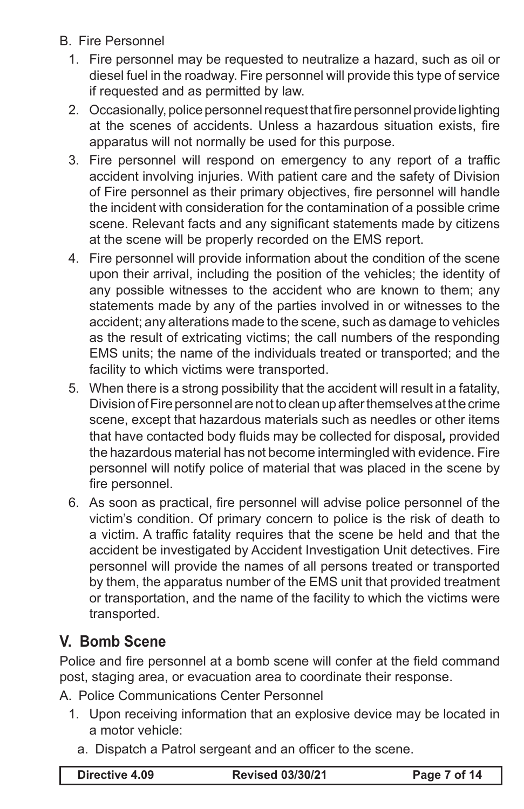- B. Fire Personnel
	- 1. Fire personnel may be requested to neutralize a hazard, such as oil or diesel fuel in the roadway. Fire personnel will provide this type of service if requested and as permitted by law.
	- 2. Occasionally, police personnel request that fire personnel provide lighting at the scenes of accidents. Unless a hazardous situation exists, fire apparatus will not normally be used for this purpose.
	- 3. Fire personnel will respond on emergency to any report of a traffic accident involving injuries. With patient care and the safety of Division of Fire personnel as their primary objectives, fire personnel will handle the incident with consideration for the contamination of a possible crime scene. Relevant facts and any significant statements made by citizens at the scene will be properly recorded on the EMS report.
	- 4. Fire personnel will provide information about the condition of the scene upon their arrival, including the position of the vehicles; the identity of any possible witnesses to the accident who are known to them; any statements made by any of the parties involved in or witnesses to the accident; any alterations made to the scene, such as damage to vehicles as the result of extricating victims; the call numbers of the responding EMS units; the name of the individuals treated or transported; and the facility to which victims were transported.
	- 5. When there is a strong possibility that the accident will result in a fatality, Division of Fire personnel are not to clean up after themselves at the crime scene, except that hazardous materials such as needles or other items that have contacted body fluids may be collected for disposal*,* provided the hazardous material has not become intermingled with evidence. Fire personnel will notify police of material that was placed in the scene by fire personnel.
	- 6. As soon as practical, fire personnel will advise police personnel of the victim's condition. Of primary concern to police is the risk of death to a victim. A traffic fatality requires that the scene be held and that the accident be investigated by Accident Investigation Unit detectives. Fire personnel will provide the names of all persons treated or transported by them, the apparatus number of the EMS unit that provided treatment or transportation, and the name of the facility to which the victims were transported.

#### **V. Bomb Scene**

Police and fire personnel at a bomb scene will confer at the field command post, staging area, or evacuation area to coordinate their response.

A. Police Communications Center Personnel

- 1. Upon receiving information that an explosive device may be located in a motor vehicle:
	- a. Dispatch a Patrol sergeant and an officer to the scene.

| Directive 4.09 | <b>Revised 03/30/21</b> | Page 7 of 14 |
|----------------|-------------------------|--------------|
|                |                         |              |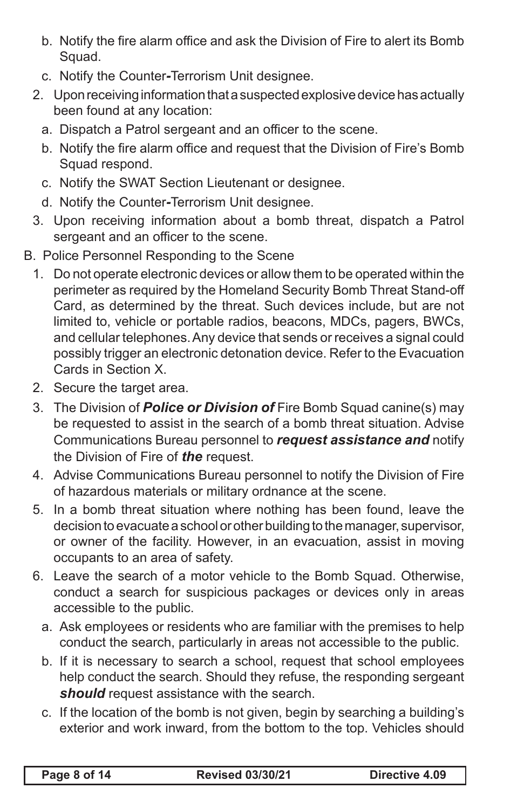- b. Notify the fire alarm office and ask the Division of Fire to alert its Bomb Squad.
- c. Notify the Counter*-*Terrorism Unit designee.
- 2. Upon receiving information that a suspected explosive device has actually been found at any location:
	- a. Dispatch a Patrol sergeant and an officer to the scene.
	- b. Notify the fire alarm office and request that the Division of Fire's Bomb Squad respond.
	- c. Notify the SWAT Section Lieutenant or designee.
	- d. Notify the Counter*-*Terrorism Unit designee.
- 3. Upon receiving information about a bomb threat, dispatch a Patrol sergeant and an officer to the scene.
- B. Police Personnel Responding to the Scene
	- 1. Do not operate electronic devices or allow them to be operated within the perimeter as required by the Homeland Security Bomb Threat Stand-off Card, as determined by the threat. Such devices include, but are not limited to, vehicle or portable radios, beacons, MDCs, pagers, BWCs, and cellular telephones. Any device that sends or receives a signal could possibly trigger an electronic detonation device. Refer to the Evacuation Cards in Section X.
	- 2. Secure the target area.
	- 3. The Division of *Police or Division of* Fire Bomb Squad canine(s) may be requested to assist in the search of a bomb threat situation. Advise Communications Bureau personnel to *request assistance and* notify the Division of Fire of *the* request.
	- 4. Advise Communications Bureau personnel to notify the Division of Fire of hazardous materials or military ordnance at the scene.
	- 5. In a bomb threat situation where nothing has been found, leave the decision to evacuate a school or other building to the manager, supervisor, or owner of the facility. However, in an evacuation, assist in moving occupants to an area of safety.
	- 6. Leave the search of a motor vehicle to the Bomb Squad. Otherwise, conduct a search for suspicious packages or devices only in areas accessible to the public.
		- a. Ask employees or residents who are familiar with the premises to help conduct the search, particularly in areas not accessible to the public.
		- b. If it is necessary to search a school, request that school employees help conduct the search. Should they refuse, the responding sergeant **should** request assistance with the search.
		- c. If the location of the bomb is not given, begin by searching a building's exterior and work inward, from the bottom to the top. Vehicles should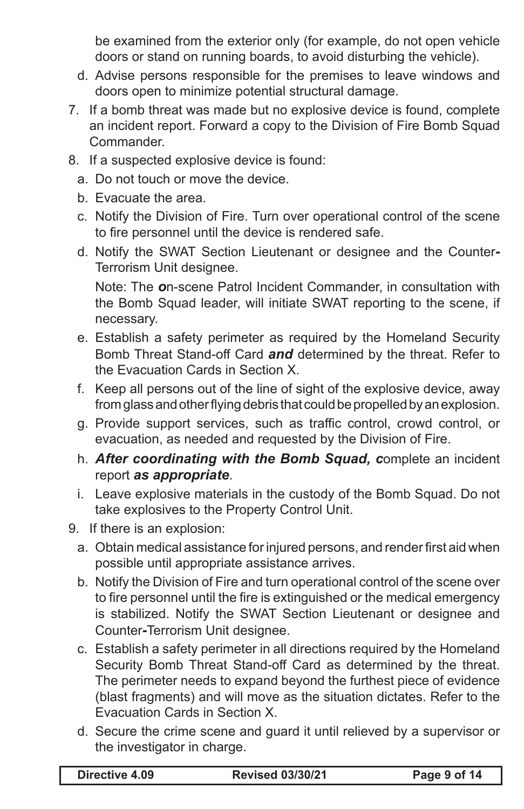be examined from the exterior only (for example, do not open vehicle doors or stand on running boards, to avoid disturbing the vehicle).

- d. Advise persons responsible for the premises to leave windows and doors open to minimize potential structural damage.
- 7. If a bomb threat was made but no explosive device is found, complete an incident report. Forward a copy to the Division of Fire Bomb Squad **Commander**
- 8. If a suspected explosive device is found:
	- a. Do not touch or move the device.
	- b. Evacuate the area.
	- c. Notify the Division of Fire. Turn over operational control of the scene to fire personnel until the device is rendered safe.
	- d. Notify the SWAT Section Lieutenant or designee and the Counter*-*Terrorism Unit designee.

Note: The *o*n-scene Patrol Incident Commander, in consultation with the Bomb Squad leader, will initiate SWAT reporting to the scene, if necessary.

- e. Establish a safety perimeter as required by the Homeland Security Bomb Threat Stand-off Card *and* determined by the threat. Refer to the Evacuation Cards in Section X.
- f. Keep all persons out of the line of sight of the explosive device, away from glass and other flying debris that could be propelled by an explosion.
- g. Provide support services, such as traffic control, crowd control, or evacuation, as needed and requested by the Division of Fire.
- h. *After coordinating with the Bomb Squad, c*omplete an incident report *as appropriate*.
- i. Leave explosive materials in the custody of the Bomb Squad. Do not take explosives to the Property Control Unit.
- 9. If there is an explosion:
	- a. Obtain medical assistance for injured persons, and render first aid when possible until appropriate assistance arrives.
	- b. Notify the Division of Fire and turn operational control of the scene over to fire personnel until the fire is extinguished or the medical emergency is stabilized. Notify the SWAT Section Lieutenant or designee and Counter*-*Terrorism Unit designee.
	- c. Establish a safety perimeter in all directions required by the Homeland Security Bomb Threat Stand-off Card as determined by the threat. The perimeter needs to expand beyond the furthest piece of evidence (blast fragments) and will move as the situation dictates. Refer to the Evacuation Cards in Section X.
	- d. Secure the crime scene and guard it until relieved by a supervisor or the investigator in charge.

| Directive 4.09 |  |
|----------------|--|
|----------------|--|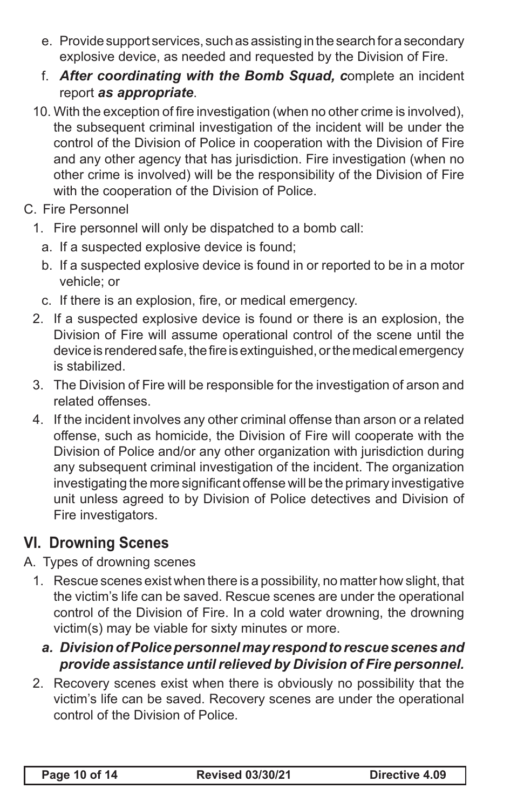- e. Provide support services, such as assisting in the search for a secondary explosive device, as needed and requested by the Division of Fire.
- f. *After coordinating with the Bomb Squad, c*omplete an incident report *as appropriate*.
- 10. With the exception of fire investigation (when no other crime is involved), the subsequent criminal investigation of the incident will be under the control of the Division of Police in cooperation with the Division of Fire and any other agency that has jurisdiction. Fire investigation (when no other crime is involved) will be the responsibility of the Division of Fire with the cooperation of the Division of Police.
- C. Fire Personnel
	- 1. Fire personnel will only be dispatched to a bomb call:
		- a. If a suspected explosive device is found;
		- b. If a suspected explosive device is found in or reported to be in a motor vehicle; or
		- c. If there is an explosion, fire, or medical emergency.
	- 2. If a suspected explosive device is found or there is an explosion, the Division of Fire will assume operational control of the scene until the device is rendered safe, the fire is extinguished, or the medical emergency is stabilized.
	- 3. The Division of Fire will be responsible for the investigation of arson and related offenses.
	- 4. If the incident involves any other criminal offense than arson or a related offense, such as homicide, the Division of Fire will cooperate with the Division of Police and/or any other organization with jurisdiction during any subsequent criminal investigation of the incident. The organization investigating the more significant offense will be the primary investigative unit unless agreed to by Division of Police detectives and Division of Fire investigators.

# **VI. Drowning Scenes**

- A. Types of drowning scenes
	- 1. Rescue scenes exist when there is a possibility, no matter how slight, that the victim's life can be saved. Rescue scenes are under the operational control of the Division of Fire. In a cold water drowning, the drowning victim(s) may be viable for sixty minutes or more.
		- *a. Division of Police personnel may respond to rescue scenes and provide assistance until relieved by Division of Fire personnel.*
	- 2. Recovery scenes exist when there is obviously no possibility that the victim's life can be saved. Recovery scenes are under the operational control of the Division of Police.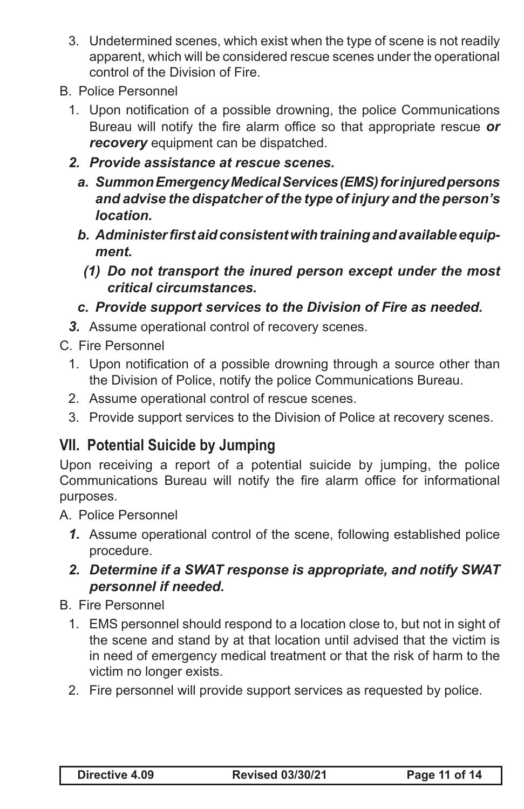- 3. Undetermined scenes, which exist when the type of scene is not readily apparent, which will be considered rescue scenes under the operational control of the Division of Fire.
- B. Police Personnel
	- 1. Upon notification of a possible drowning, the police Communications Bureau will notify the fire alarm office so that appropriate rescue *or*  **recovery** equipment can be dispatched.
	- *2. Provide assistance at rescue scenes.*
		- *a. Summon Emergency Medical Services (EMS) for injured persons and advise the dispatcher of the type of injury and the person's location.*
		- *b. Administer first aid consistent with training and available equipment.*
			- *(1) Do not transport the inured person except under the most critical circumstances.*
		- *c. Provide support services to the Division of Fire as needed.*
	- *3.* Assume operational control of recovery scenes.

C. Fire Personnel

- 1. Upon notification of a possible drowning through a source other than the Division of Police, notify the police Communications Bureau.
- 2. Assume operational control of rescue scenes.
- 3. Provide support services to the Division of Police at recovery scenes.

### **VII. Potential Suicide by Jumping**

Upon receiving a report of a potential suicide by jumping, the police Communications Bureau will notify the fire alarm office for informational purposes.

A. Police Personnel

*1.* Assume operational control of the scene, following established police procedure.

#### *2. Determine if a SWAT response is appropriate, and notify SWAT personnel if needed.*

B. Fire Personnel

- 1. EMS personnel should respond to a location close to, but not in sight of the scene and stand by at that location until advised that the victim is in need of emergency medical treatment or that the risk of harm to the victim no longer exists.
- 2. Fire personnel will provide support services as requested by police.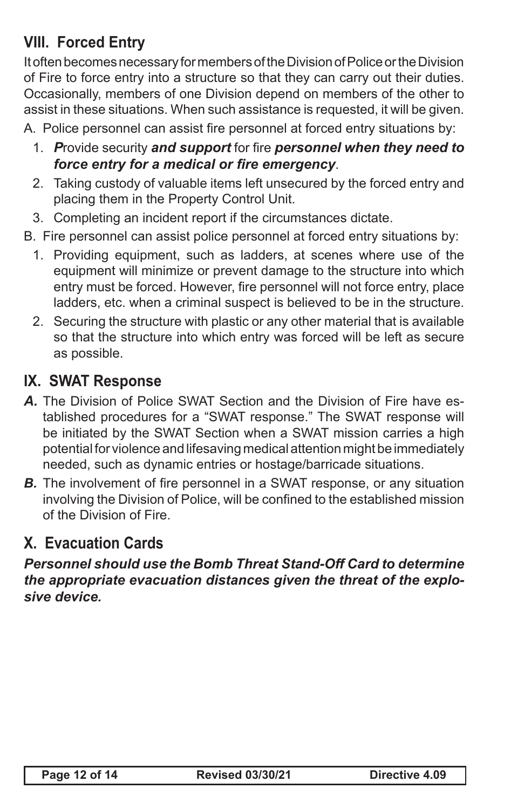# **VIII. Forced Entry**

It often becomes necessary for members of the Division of Police or the Division of Fire to force entry into a structure so that they can carry out their duties. Occasionally, members of one Division depend on members of the other to assist in these situations. When such assistance is requested, it will be given.

A. Police personnel can assist fire personnel at forced entry situations by:

- 1. *P*rovide security *and support* for fire *personnel when they need to force entry for a medical or fire emergency*.
- 2. Taking custody of valuable items left unsecured by the forced entry and placing them in the Property Control Unit.
- 3. Completing an incident report if the circumstances dictate.
- B. Fire personnel can assist police personnel at forced entry situations by:
	- 1. Providing equipment, such as ladders, at scenes where use of the equipment will minimize or prevent damage to the structure into which entry must be forced. However, fire personnel will not force entry, place ladders, etc. when a criminal suspect is believed to be in the structure.
	- 2. Securing the structure with plastic or any other material that is available so that the structure into which entry was forced will be left as secure as possible.

### **IX. SWAT Response**

- *A.* The Division of Police SWAT Section and the Division of Fire have established procedures for a "SWAT response." The SWAT response will be initiated by the SWAT Section when a SWAT mission carries a high potential for violence and lifesaving medical attention might be immediately needed, such as dynamic entries or hostage/barricade situations.
- **B.** The involvement of fire personnel in a SWAT response, or any situation involving the Division of Police, will be confined to the established mission of the Division of Fire.

## **X. Evacuation Cards**

*Personnel should use the Bomb Threat Stand-Off Card to determine the appropriate evacuation distances given the threat of the explosive device.*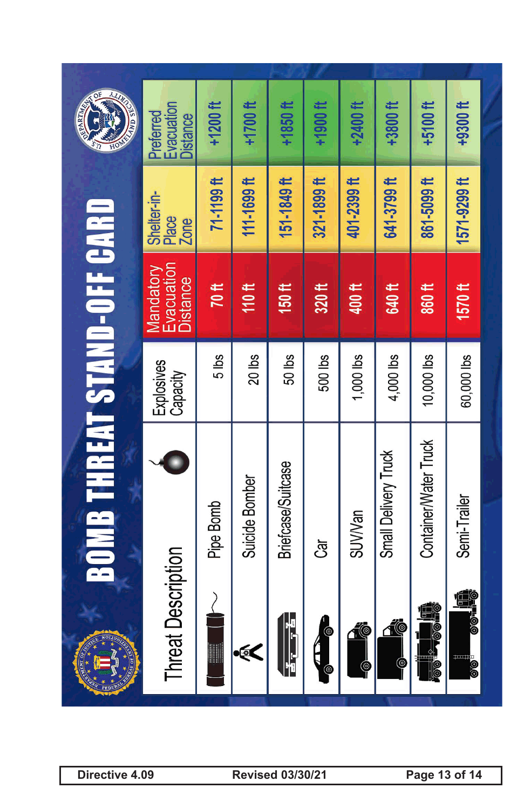| <b>AND SE</b>                     | Evacuation<br>Preferred<br><b>Distance</b> | $+1200$ ft            | $+1700$ ft      | $+1850$ ft         | $+1900$ ft    | <b>+2400 ft</b>        | +3800 ft                                          | +5100 ft              | +9300 ft                         |  |
|-----------------------------------|--------------------------------------------|-----------------------|-----------------|--------------------|---------------|------------------------|---------------------------------------------------|-----------------------|----------------------------------|--|
|                                   | Shelter-in-<br>Place<br>Zone               | 71-1199 <sup>ft</sup> | $111 - 1699$ ft | $151 - 1849$ ft    | 321-1899 ft   | 401-2399 <sup>ft</sup> | 641-3799 ft                                       | 861-5099 ft           | 1571-9299 ft                     |  |
|                                   | Evacuation<br>Mandatory<br><b>Distance</b> | 70 <sub>ft</sub>      | 110ft           | 150ft              | 320 ft        | 400 ft                 | 640 ft                                            | 860 <sup>ft</sup>     | 1570ft                           |  |
|                                   | Explosives<br>Capacity                     | $5$ lbs               | 20 lbs          | $50$ lbs           | 500 lbs       | 1,000 lbs              | $4,000$ lbs                                       | 10,000 lbs            | 60,000 lbs                       |  |
| <b>BOMB THREAT STAND-OFF CARD</b> |                                            | Pipe Bomb             | Suicide Bomber  | Briefcase/Suitcase | යි            | <b>SUV/Van</b>         | Small Delivery Truck                              | Container/Water Truck | Semi-Trailer                     |  |
|                                   | <b>Threat Description</b>                  |                       | $\epsilon$      | 모 <sub>조 스</sub> 모 | <b>O</b><br>⊜ | 10                     | <u> 10</u><br>$\mathbin{\textcircled{\small\tt}}$ | die na<br>10          | d.<br><b>HOIO</b><br><b>1000</b> |  |